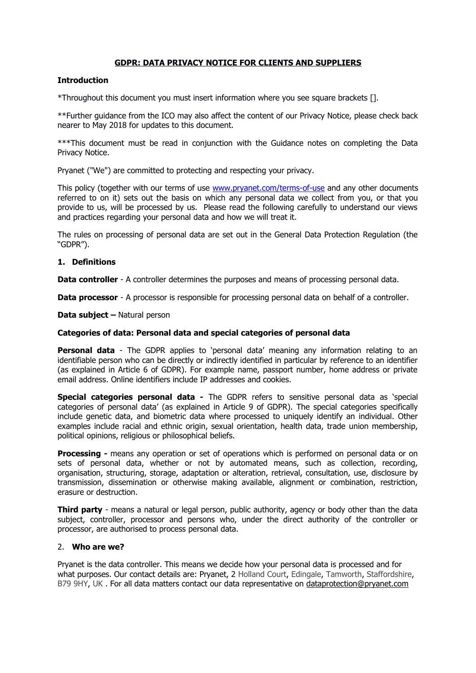# **GDPR: DATA PRIVACY NOTICE FOR CLIENTS AND SUPPLIERS**

### **Introduction**

\*Throughout this document you must insert information where you see square brackets [].

\*\*Further guidance from the ICO may also affect the content of our Privacy Notice, please check back nearer to May 2018 for updates to this document.

\*\*\*This document must be read in conjunction with the Guidance notes on completing the Data Privacy Notice.

Pryanet ("We") are committed to protecting and respecting your privacy.

This policy (together with our terms of use [www.pryanet.com/terms-of-use](http://www.pryanet.com/terms-of-use) and any other documents referred to on it) sets out the basis on which any personal data we collect from you, or that you provide to us, will be processed by us. Please read the following carefully to understand our views and practices regarding your personal data and how we will treat it.

The rules on processing of personal data are set out in the General Data Protection Regulation (the "GDPR").

### **1. Definitions**

**Data controller** - A controller determines the purposes and means of processing personal data.

**Data processor** - A processor is responsible for processing personal data on behalf of a controller.

#### **Data subject –** Natural person

## **Categories of data: Personal data and special categories of personal data**

**Personal data** - The GDPR applies to 'personal data' meaning any information relating to an identifiable person who can be directly or indirectly identified in particular by reference to an identifier (as explained in Article 6 of GDPR). For example name, passport number, home address or private email address. Online identifiers include IP addresses and cookies.

**Special categories personal data -** The GDPR refers to sensitive personal data as 'special categories of personal data' (as explained in Article 9 of GDPR). The special categories specifically include genetic data, and biometric data where processed to uniquely identify an individual. Other examples include racial and ethnic origin, sexual orientation, health data, trade union membership, political opinions, religious or philosophical beliefs.

**Processing -** means any operation or set of operations which is performed on personal data or on sets of personal data, whether or not by automated means, such as collection, recording, organisation, structuring, storage, adaptation or alteration, retrieval, consultation, use, disclosure by transmission, dissemination or otherwise making available, alignment or combination, restriction, erasure or destruction.

**Third party** - means a natural or legal person, public authority, agency or body other than the data subject, controller, processor and persons who, under the direct authority of the controller or processor, are authorised to process personal data.

# 2. **Who are we?**

Pryanet is the data controller. This means we decide how your personal data is processed and for what purposes. Our contact details are: Pryanet, 2 Holland Court, Edingale, Tamworth, Staffordshire, B79 9HY, UK . For all data matters contact our data representative on [dataprotection@pryanet.com](mailto:dataprotection@pryanet.com)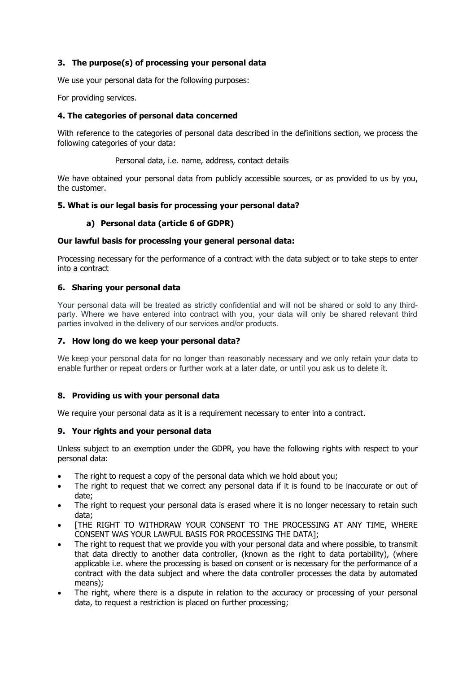# **3. The purpose(s) of processing your personal data**

We use your personal data for the following purposes:

For providing services.

## **4. The categories of personal data concerned**

With reference to the categories of personal data described in the definitions section, we process the following categories of your data:

#### Personal data, i.e. name, address, contact details

We have obtained your personal data from publicly accessible sources, or as provided to us by you, the customer.

### **5. What is our legal basis for processing your personal data?**

# **a) Personal data (article 6 of GDPR)**

### **Our lawful basis for processing your general personal data:**

Processing necessary for the performance of a contract with the data subject or to take steps to enter into a contract

### **6. Sharing your personal data**

Your personal data will be treated as strictly confidential and will not be shared or sold to any thirdparty. Where we have entered into contract with you, your data will only be shared relevant third parties involved in the delivery of our services and/or products.

#### **7. How long do we keep your personal data?**

We keep your personal data for no longer than reasonably necessary and we only retain your data to enable further or repeat orders or further work at a later date, or until you ask us to delete it.

# **8. Providing us with your personal data**

We require your personal data as it is a requirement necessary to enter into a contract.

#### **9. Your rights and your personal data**

Unless subject to an exemption under the GDPR, you have the following rights with respect to your personal data:

- The right to request a copy of the personal data which we hold about you;
- The right to request that we correct any personal data if it is found to be inaccurate or out of date;
- The right to request your personal data is erased where it is no longer necessary to retain such data;
- [THE RIGHT TO WITHDRAW YOUR CONSENT TO THE PROCESSING AT ANY TIME, WHERE CONSENT WAS YOUR LAWFUL BASIS FOR PROCESSING THE DATA];
- The right to request that we provide you with your personal data and where possible, to transmit that data directly to another data controller, (known as the right to data portability), (where applicable i.e. where the processing is based on consent or is necessary for the performance of a contract with the data subject and where the data controller processes the data by automated means);
- The right, where there is a dispute in relation to the accuracy or processing of your personal data, to request a restriction is placed on further processing;